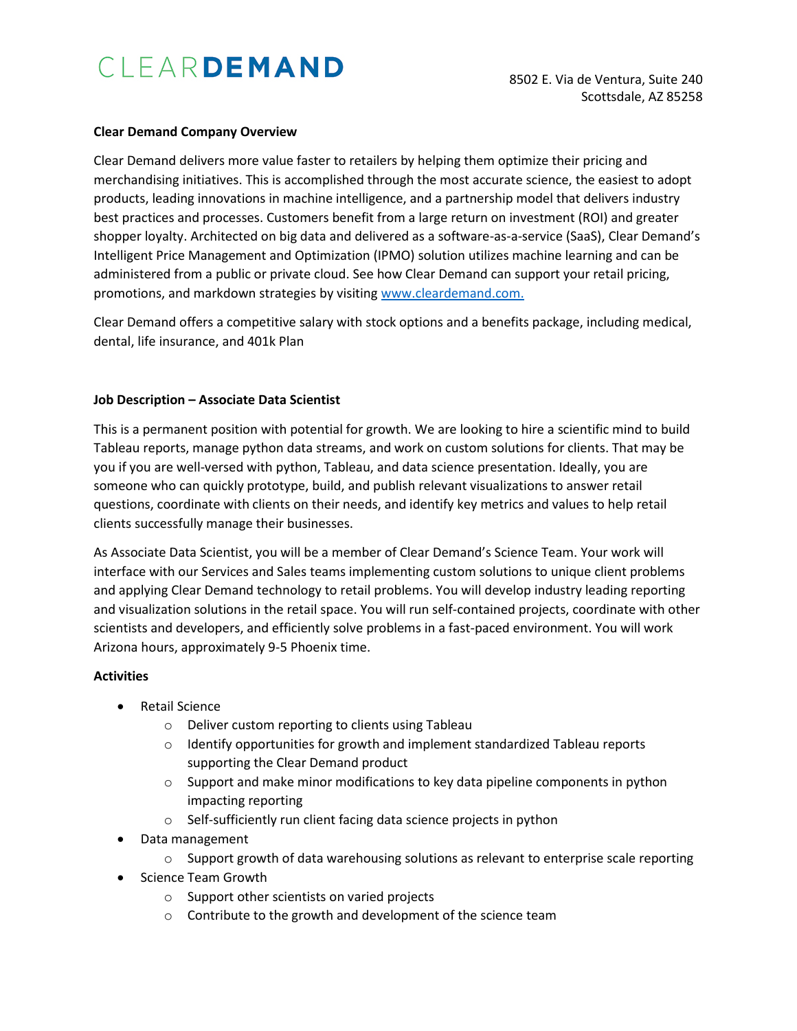# CLEARDEMAND

#### **Clear Demand Company Overview**

Clear Demand delivers more value faster to retailers by helping them optimize their pricing and merchandising initiatives. This is accomplished through the most accurate science, the easiest to adopt products, leading innovations in machine intelligence, and a partnership model that delivers industry best practices and processes. Customers benefit from a large return on investment (ROI) and greater shopper loyalty. Architected on big data and delivered as a software-as-a-service (SaaS), Clear Demand's Intelligent Price Management and Optimization (IPMO) solution utilizes machine learning and can be administered from a public or private cloud. See how Clear Demand can support your retail pricing, promotions, and markdown strategies by visitin[g www.cleardemand.com.](http://www.cleardemand.com/)

Clear Demand offers a competitive salary with stock options and a benefits package, including medical, dental, life insurance, and 401k Plan

### **Job Description – Associate Data Scientist**

This is a permanent position with potential for growth. We are looking to hire a scientific mind to build Tableau reports, manage python data streams, and work on custom solutions for clients. That may be you if you are well-versed with python, Tableau, and data science presentation. Ideally, you are someone who can quickly prototype, build, and publish relevant visualizations to answer retail questions, coordinate with clients on their needs, and identify key metrics and values to help retail clients successfully manage their businesses.

As Associate Data Scientist, you will be a member of Clear Demand's Science Team. Your work will interface with our Services and Sales teams implementing custom solutions to unique client problems and applying Clear Demand technology to retail problems. You will develop industry leading reporting and visualization solutions in the retail space. You will run self-contained projects, coordinate with other scientists and developers, and efficiently solve problems in a fast-paced environment. You will work Arizona hours, approximately 9-5 Phoenix time.

## **Activities**

- Retail Science
	- o Deliver custom reporting to clients using Tableau
	- o Identify opportunities for growth and implement standardized Tableau reports supporting the Clear Demand product
	- $\circ$  Support and make minor modifications to key data pipeline components in python impacting reporting
	- o Self-sufficiently run client facing data science projects in python
- Data management
	- $\circ$  Support growth of data warehousing solutions as relevant to enterprise scale reporting
- Science Team Growth
	- o Support other scientists on varied projects
	- o Contribute to the growth and development of the science team